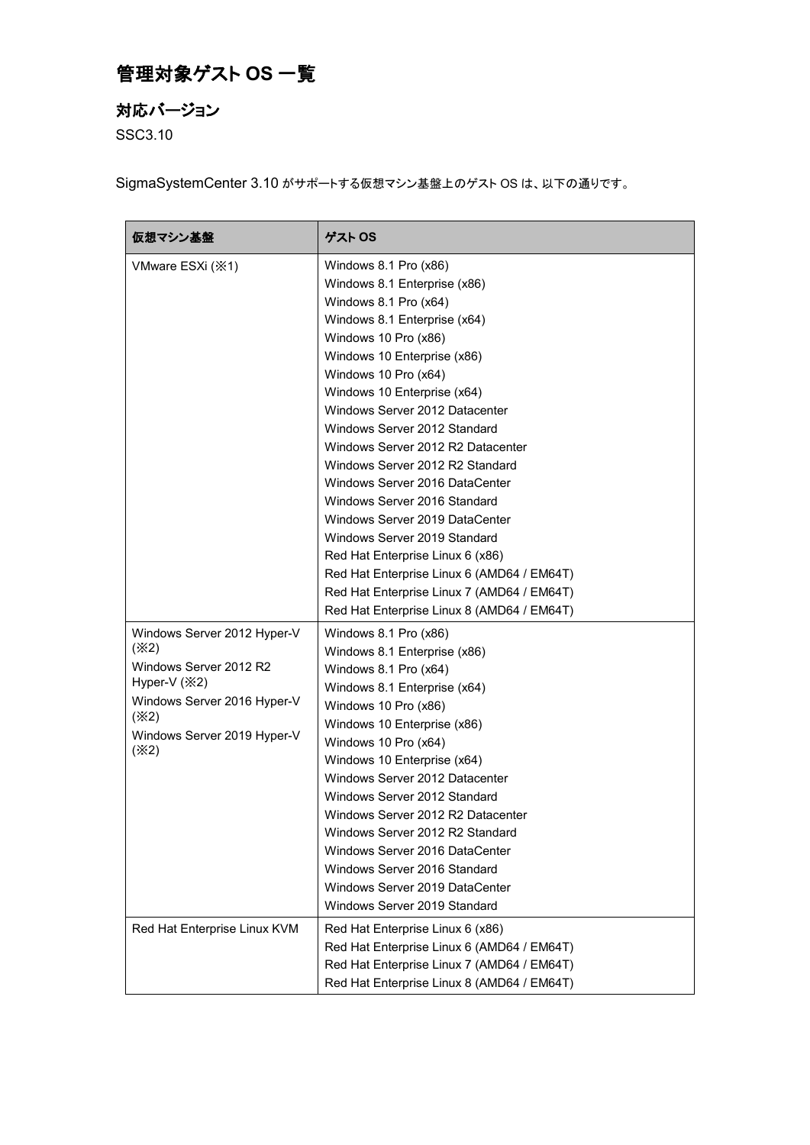## 管理対象ゲスト **OS** 一覧

## 対応バージョン

SSC3.10

SigmaSystemCenter 3.10 がサポートする仮想マシン基盤上のゲスト OS は、以下の通りです。

| 仮想マシン基盤                                                                                                                                                     | ゲスト OS                                                                                                                                                                                                                                                                                                                                                                                                                                                                                                                                                                                                                                                                                   |
|-------------------------------------------------------------------------------------------------------------------------------------------------------------|------------------------------------------------------------------------------------------------------------------------------------------------------------------------------------------------------------------------------------------------------------------------------------------------------------------------------------------------------------------------------------------------------------------------------------------------------------------------------------------------------------------------------------------------------------------------------------------------------------------------------------------------------------------------------------------|
| VMware ESXi ( $\divideontimes$ 1)                                                                                                                           | Windows 8.1 Pro (x86)<br>Windows 8.1 Enterprise (x86)<br>Windows 8.1 Pro (x64)<br>Windows 8.1 Enterprise (x64)<br>Windows 10 Pro (x86)<br>Windows 10 Enterprise (x86)<br>Windows 10 Pro (x64)<br>Windows 10 Enterprise (x64)<br>Windows Server 2012 Datacenter<br>Windows Server 2012 Standard<br>Windows Server 2012 R2 Datacenter<br>Windows Server 2012 R2 Standard<br>Windows Server 2016 DataCenter<br>Windows Server 2016 Standard<br>Windows Server 2019 DataCenter<br>Windows Server 2019 Standard<br>Red Hat Enterprise Linux 6 (x86)<br>Red Hat Enterprise Linux 6 (AMD64 / EM64T)<br>Red Hat Enterprise Linux 7 (AMD64 / EM64T)<br>Red Hat Enterprise Linux 8 (AMD64 / EM64T) |
| Windows Server 2012 Hyper-V<br>(X2)<br>Windows Server 2012 R2<br>Hyper-V (※2)<br>Windows Server 2016 Hyper-V<br>(X2)<br>Windows Server 2019 Hyper-V<br>(X2) | Windows 8.1 Pro (x86)<br>Windows 8.1 Enterprise (x86)<br>Windows 8.1 Pro (x64)<br>Windows 8.1 Enterprise (x64)<br>Windows 10 Pro (x86)<br>Windows 10 Enterprise (x86)<br>Windows 10 Pro (x64)<br>Windows 10 Enterprise (x64)<br>Windows Server 2012 Datacenter<br>Windows Server 2012 Standard<br>Windows Server 2012 R2 Datacenter<br>Windows Server 2012 R2 Standard<br>Windows Server 2016 DataCenter<br>Windows Server 2016 Standard<br>Windows Server 2019 DataCenter<br>Windows Server 2019 Standard                                                                                                                                                                               |
| Red Hat Enterprise Linux KVM                                                                                                                                | Red Hat Enterprise Linux 6 (x86)<br>Red Hat Enterprise Linux 6 (AMD64 / EM64T)<br>Red Hat Enterprise Linux 7 (AMD64 / EM64T)<br>Red Hat Enterprise Linux 8 (AMD64 / EM64T)                                                                                                                                                                                                                                                                                                                                                                                                                                                                                                               |